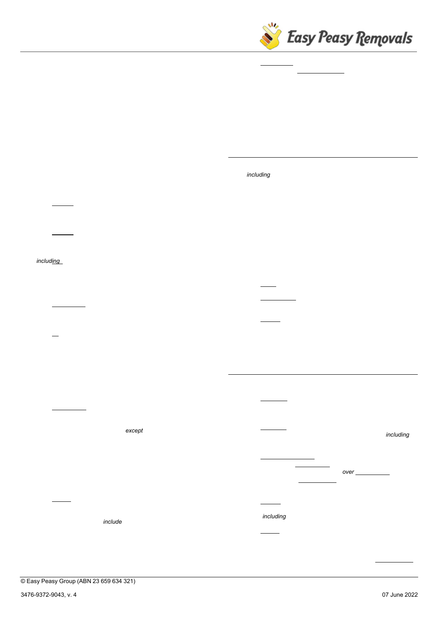

information provided by it to the Company is correct. (c) Any incorrect information may mean that the Company is unable to provide the Services or may result in an increase in the Charges.

- 4.2  $5$  XY e i U h Y  $\cdot$  f -YT gecClus foldward is responsible for calculating and informing the Company of the volume of the Goods the subject of the Services, to ensure that the number and size of vehicles to be used by the Company for the Services is adequate.
- 4.3  $\,$  C k b Y f  $\,$  # BU accepting these Terms in accordance with clause 2.2, the Customer warrants that it is, or is authorised to act on behalf of, the owner of the Goods and is authorised to accept these Terms.
- 4.4  $\div$  c c  $Xg$   $\div$  U h  $\div$  G-HT be f Chastomer must notify the Company before the Start Time if any of the Goods include, contain or incorporate:
	- (a) difficulty dangerous goods, banned substances, animals and/or plants (as moving these may be a breach of the law);
	- (b) delicacy goods of a fragile or brittle nature which are not readily apparent as such, and any special precautions that should be taken when moving such goods; and/or
	- (c) size large or heavy Items (including pianos and pool tables), for which the Company will provide a separate quotation.
- 4.5 ;  $c c X g' c b' 7 c a d' Y h] c b$ 
	- (a) Identification The Customer must ensure that all Goods to be moved or stored are correctly identified and that none is taken by the Company's staff in error.
	- (b) Fit (i) The Customer is responsible for ensuring that Goods will Z the Drop-Off Address. (ii) The Company's staff are not trained or insured to (and will not) remove doors or windows, and in such cases will be authorised to leave the relevant Goods outside the relevant premises. (iii) The Customer is responsible for arranging a specialist if needed.
- 4.6  $D U f$  \_ ] b [  $\cdot$  U b X  $\cdot$  U WWY g g
	- (a) Parking fines (i) The Customer is responsible for providing adequate parking and access for the Company to provide the Services. (ii) The Company will park in any safe areas at the Customer's direction, except a 'clearway'. (iii) If the Customer instructs the Company to park in an area that is not legally available for parking, then the Customer must pay any resulting parking fines or fees incurred by the Company (which will add any such parking fines or fees to the Customer's Charges). (iv) All of the Company's vehicles are eligible to use 'loading zones', but any relevant time limits will apply.
	- (b) Access (i) The Customer is responsible for informing the Company about any awkward or difficult access to or at any Pick-Up Address or Drop-Off Address. (ii) Awkward or difficult access can include no vehicular access, no parking available in close proximity to the relevant address and cramped stair and hallway conditions. (iii) The Company reserves the right to make additional Charges due to such circumstances.
- (c) Waiting time (i) The Company will not be required to wait for more than thirty (30) minutes after arrival at any Pick-Up Address or Drop-Off Address to receive access. (ii) If by that time the Company has not received such access, the Company will not be required to provide the Services, but the Customer must still pay for the Company's attendance.
- 4.7 B c U WWY g g  $\hat{H}$  h(a) The Customer (and any person associated with the Customer)  $a$  i  $g h$  ehter any part of any Company vehicle. (b) The Customer is fully responsible for any damage caused to any person or Goods by such action.
- 5.  $89@ = J9F M$
- 5.1  $8Y'$  | j  $Yf$  m  $XYhU$  |  $g$  The Company will provide the Services (including delivering the Goods) in accordance with the details contained in the Job Confirmation.
- $5.2$   $8$  Y Y a Y X  $\cdot$  X Y The Services will be taken to have been completed (and the Goods will be taken to have been delivered) in accordance with these Terms at Completion.
- 5.3 A Y h \ c X  $\cdot$  c Z The Company move the Goods by any reasonable means and any reasonable routes.
- $5.4$  B c b !  $XY \cdot$  If the Company cannot deliver the Goods to the final Drop-Off Address because of any inaccurate information provided by the Customer or as a result of any unforeseen circumstances, the Company may:
	- (a) return return the Goods to the Pick-Up Address;
	- (b) other delivery deliver the Goods to the Customer at another address; or
	- (c) storage place the Goods into storage (and the Company may charge the Customer for the storage and re-delivery of such Goods)

any such action will not entitle either party to treat any Agreement as having been repudiated, .

- 6.  $7 < 5F$ ; 9G  $5B8$  D5MA9BH
- 6.1  $7 \setminus Uf$  |  $Yg$ 
	- Obligation In return for the Company providing the Services, the Customer must pay the Charges to the Company.
	- (b) Estimates Any indications of Charges provided to the Customer in advance of providing the Services (including in a Job Confirmation) are estimates only.
	- (c) Minimum / additional (i) The minimum Charges will be calculated at two (2) hours from the Start Time. (ii) Any time spent in providing the Services over two (2) hours will be charged for in one (1) minute intervals, in accordance with the hourly rates referred to in Schedule 1.
	- (d) Deposit The Customer must pay to the Company such deposit on account of the Charges as may be specified (including in the Job Confirmation) by the Company.
	- (e) Invoice The Company may issue the Customer an Invoice at or after Completion.
- 6.2 J U f ] U hIf, at any time after the Company has issued the Customer a Job Confirmation, or otherwise within forty-eight (48)

 $\oslash$  Easy Peasy Group (ABN 23 659 634 321)  $\oslash$  Page 2 of 6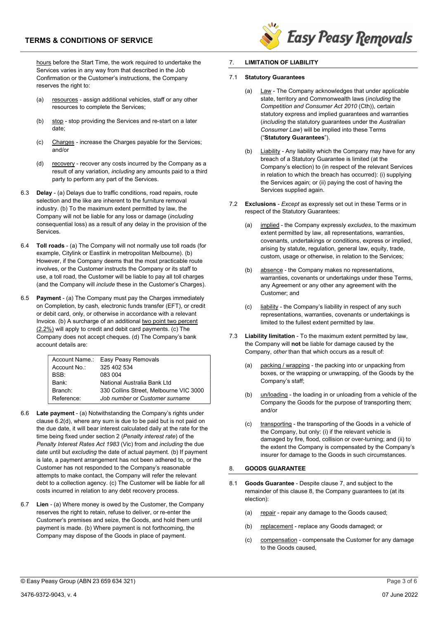# TERMS & CONDITIONS OF SERVICE

hours before the Start Time, the work required to undertake the Services varies in any way from that described in the Job Confirmation or the Customer's instructions, the Company reserves the right to:

- (a) resources assign additional vehicles, staff or any other resources to complete the Services;
- (b) stop stop providing the Services and re-start on a later date;
- (c) Charges increase the Charges payable for the Services; and/or
- (d) recovery recover any costs incurred by the Company as a result of any variation, including any amounts paid to a third party to perform any part of the Services.
- 6.3 Delay (a) Delays due to traffic conditions, road repairs, route selection and the like are inherent to the furniture removal industry. (b) To the maximum extent permitted by law, the Company will not be liable for any loss or damage (including consequential loss) as a result of any delay in the provision of the Services.
- 6.4 Toll roads (a) The Company will not normally use toll roads (for example, Citylink or Eastlink in metropolitan Melbourne). (b) However, if the Company deems that the most practicable route involves, or the Customer instructs the Company or its staff to use, a toll road, the Customer will be liable to pay all toll charges (and the Company will include these in the Customer's Charges).
- 6.5 Payment (a) The Company must pay the Charges immediately on Completion, by cash, electronic funds transfer (EFT), or credit or debit card, only, or otherwise in accordance with a relevant Invoice. (b) A surcharge of an additional two point two percent (2.2%) will apply to credit and debit card payments. (c) The Company does not accept cheques. (d) The Company's bank account details are:

|                   | Account Name.: Easy Peasy Removals     |
|-------------------|----------------------------------------|
| Account No.:      | 325 402 534                            |
| BSB <sup>.</sup>  | 083 004                                |
| Bank <sup>-</sup> | National Australia Bank I td           |
| Branch:           | 330 Collins Street, Melbourne VIC 3000 |
| Reference:        | Job number or Customer surname         |

- 6.6 Late payment (a) Notwithstanding the Company's rights under clause 6.2(d), where any sum is due to be paid but is not paid on the due date, it will bear interest calculated daily at the rate for the time being fixed under section 2 (Penalty interest rate) of the Penalty Interest Rates Act 1983 (Vic) from and including the due date until but excluding the date of actual payment. (b) If payment is late, a payment arrangement has not been adhered to, or the Customer has not responded to the Company's reasonable attempts to make contact, the Company will refer the relevant debt to a collection agency. (c) The Customer will be liable for all costs incurred in relation to any debt recovery process.
- 6.7 Lien (a) Where money is owed by the Customer, the Company reserves the right to retain, refuse to deliver, or re-enter the Customer's premises and seize, the Goods, and hold them until payment is made. (b) Where payment is not forthcoming, the Company may dispose of the Goods in place of payment.



## 7. LIMITATION OF LIABILITY

## 7.1 Statutory Guarantees

- (a) Law The Company acknowledges that under applicable state, territory and Commonwealth laws (including the Competition and Consumer Act 2010 (Cth)), certain statutory express and implied guarantees and warranties (including the statutory guarantees under the Australian Consumer Law) will be implied into these Terms ("Statutory Guarantees").
- (b) Liability Any liability which the Company may have for any breach of a Statutory Guarantee is limited (at the Company's election) to (in respect of the relevant Services in relation to which the breach has occurred): (i) supplying the Services again; or (ii) paying the cost of having the Services supplied again.
- 7.2 Exclusions Except as expressly set out in these Terms or in respect of the Statutory Guarantees:
	- (a) implied the Company expressly excludes, to the maximum extent permitted by law, all representations, warranties, covenants, undertakings or conditions, express or implied, arising by statute, regulation, general law, equity, trade, custom, usage or otherwise, in relation to the Services;
	- absence the Company makes no representations, warranties, covenants or undertakings under these Terms, any Agreement or any other any agreement with the Customer; and
	- (c) liability the Company's liability in respect of any such representations, warranties, covenants or undertakings is limited to the fullest extent permitted by law.
- 7.3 Liability limitation To the maximum extent permitted by law, the Company will not be liable for damage caused by the Company, other than that which occurs as a result of:
	- (a) packing / wrapping the packing into or unpacking from boxes, or the wrapping or unwrapping, of the Goods by the Company's staff;
	- (b) un/loading the loading in or unloading from a vehicle of the Company the Goods for the purpose of transporting them; and/or
	- (c) transporting the transporting of the Goods in a vehicle of the Company, but only: (i) if the relevant vehicle is damaged by fire, flood, collision or over-turning; and (ii) to the extent the Company is compensated by the Company's insurer for damage to the Goods in such circumstances.

## 8. GOODS GUARANTEE

- 8.1 Goods Guarantee Despite clause 7, and subject to the remainder of this clause 8, the Company guarantees to (at its election):
	- (a) repair repair any damage to the Goods caused;
	- (b) replacement replace any Goods damaged; or
	- (c) compensation compensate the Customer for any damage to the Goods caused,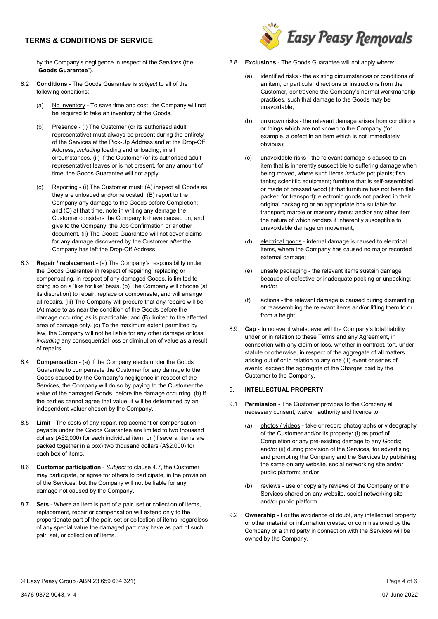

by the Company's negligence in respect of the Services (the "Goods Guarantee").

- 8.2 Conditions The Goods Guarantee is *subject* to all of the following conditions:
	- (a) No inventory To save time and cost, the Company will not be required to take an inventory of the Goods.
	- (b) Presence (i) The Customer (or its authorised adult representative) must always be present during the entirety of the Services at the Pick-Up Address and at the Drop-Off Address, including loading and unloading, in all circumstances. (ii) If the Customer (or its authorised adult representative) leaves or is not present, for any amount of time, the Goods Guarantee will not apply.
	- (c) Reporting (i) The Customer must: (A) inspect all Goods as they are unloaded and/or relocated; (B) report to the Company any damage to the Goods before Completion; and (C) at that time, note in writing any damage the Customer considers the Company to have caused on, and give to the Company, the Job Confirmation or another document. (ii) The Goods Guarantee will not cover claims for any damage discovered by the Customer after the Company has left the Drop-Off Address.
- 8.3 Repair / replacement (a) The Company's responsibility under the Goods Guarantee in respect of repairing, replacing or compensating, in respect of any damaged Goods, is limited to doing so on a 'like for like' basis. (b) The Company will choose (at its discretion) to repair, replace or compensate, and will arrange all repairs. (iii) The Company will procure that any repairs will be: (A) made to as near the condition of the Goods before the damage occurring as is practicable; and (B) limited to the affected area of damage only. (c) To the maximum extent permitted by law, the Company will not be liable for any other damage or loss, including any consequential loss or diminution of value as a result of repairs.
- 8.4 Compensation (a) If the Company elects under the Goods Guarantee to compensate the Customer for any damage to the Goods caused by the Company's negligence in respect of the Services, the Company will do so by paying to the Customer the value of the damaged Goods, before the damage occurring. (b) If the parties cannot agree that value, it will be determined by an independent valuer chosen by the Company.
- 8.5 Limit The costs of any repair, replacement or compensation payable under the Goods Guarantee are limited to two thousand dollars (A\$2,000) for each individual item, or (if several items are packed together in a box) two thousand dollars (A\$2,000) for each box of items.
- 8.6 Customer participation Subject to clause 4.7, the Customer may participate, or agree for others to participate, in the provision of the Services, but the Company will not be liable for any damage not caused by the Company.
- 8.7 Sets Where an item is part of a pair, set or collection of items, replacement, repair or compensation will extend only to the proportionate part of the pair, set or collection of items, regardless of any special value the damaged part may have as part of such pair, set, or collection of items.
- 8.8 **Exclusions** The Goods Guarantee will not apply where:
	- (a) identified risks the existing circumstances or conditions of an item, or particular directions or instructions from the Customer, contravene the Company's normal workmanship practices, such that damage to the Goods may be unavoidable;
	- (b) unknown risks the relevant damage arises from conditions or things which are not known to the Company (for example, a defect in an item which is not immediately obvious);
	- (c) unavoidable risks the relevant damage is caused to an item that is inherently susceptible to suffering damage when being moved, where such items include: pot plants; fish tanks; scientific equipment; furniture that is self-assembled or made of pressed wood (if that furniture has not been flatpacked for transport); electronic goods not packed in their original packaging or an appropriate box suitable for transport; marble or masonry items; and/or any other item the nature of which renders it inherently susceptible to unavoidable damage on movement;
	- (d) electrical goods internal damage is caused to electrical items, where the Company has caused no major recorded external damage;
	- (e) unsafe packaging the relevant items sustain damage because of defective or inadequate packing or unpacking; and/or
	- (f) actions the relevant damage is caused during dismantling or reassembling the relevant items and/or lifting them to or from a height.
- 8.9 Cap In no event whatsoever will the Company's total liability under or in relation to these Terms and any Agreement, in connection with any claim or loss, whether in contract, tort, under statute or otherwise, in respect of the aggregate of all matters arising out of or in relation to any one (1) event or series of events, exceed the aggregate of the Charges paid by the Customer to the Company.

## 9. INTELLECTUAL PROPERTY

- 9.1 Permission The Customer provides to the Company all necessary consent, waiver, authority and licence to:
	- (a) photos / videos take or record photographs or videography of the Customer and/or its property: (i) as proof of Completion or any pre-existing damage to any Goods; and/or (ii) during provision of the Services, for advertising and promoting the Company and the Services by publishing the same on any website, social networking site and/or public platform; and/or
	- (b) reviews use or copy any reviews of the Company or the Services shared on any website, social networking site and/or public platform.
- 9.2 Ownership For the avoidance of doubt, any intellectual property or other material or information created or commissioned by the Company or a third party in connection with the Services will be owned by the Company.

<sup>©</sup> Easy Peasy Group (ABN 23 659 634 321) Page 4 of 6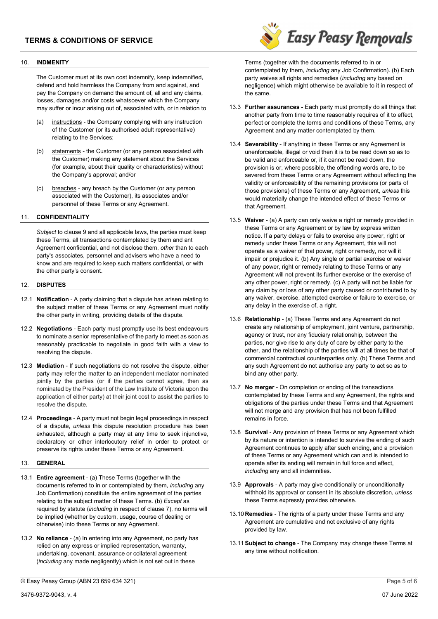#### 10. INDMENITY

The Customer must at its own cost indemnify, keep indemnified, defend and hold harmless the Company from and against, and pay the Company on demand the amount of, all and any claims, losses, damages and/or costs whatsoever which the Company may suffer or incur arising out of, associated with, or in relation to

- (a) instructions the Company complying with any instruction of the Customer (or its authorised adult representative) relating to the Services;
- (b) statements the Customer (or any person associated with the Customer) making any statement about the Services (for example, about their quality or characteristics) without the Company's approval; and/or
- (c) breaches any breach by the Customer (or any person associated with the Customer), its associates and/or personnel of these Terms or any Agreement.

#### 11. CONFIDENTIALITY

Subject to clause 9 and all applicable laws, the parties must keep these Terms, all transactions contemplated by them and ant Agreement confidential, and not disclose them, *other* than to each party's associates, personnel and advisers who have a need to know and are required to keep such matters confidential, or with the other party's consent.

#### 12. DISPUTES

- 12.1 Notification A party claiming that a dispute has arisen relating to the subject matter of these Terms or any Agreement must notify the other party in writing, providing details of the dispute.
- 12.2 Negotiations Each party must promptly use its best endeavours to nominate a senior representative of the party to meet as soon as reasonably practicable to negotiate in good faith with a view to resolving the dispute.
- 12.3 Mediation If such negotiations do not resolve the dispute, either party may refer the matter to an independent mediator nominated jointly by the parties (or if the parties cannot agree, then as nominated by the President of the Law Institute of Victoria upon the application of either party) at their joint cost to assist the parties to resolve the dispute.
- 12.4 Proceedings A party must not begin legal proceedings in respect of a dispute, *unless* this dispute resolution procedure has been exhausted, although a party may at any time to seek injunctive, declaratory or other interlocutory relief in order to protect or preserve its rights under these Terms or any Agreement.

## 13. GENERAL

- 13.1 Entire agreement (a) These Terms (together with the documents referred to in or contemplated by them, including any Job Confirmation) constitute the entire agreement of the parties relating to the subject matter of these Terms. (b) Except as required by statute (including in respect of clause 7), no terms will be implied (whether by custom, usage, course of dealing or otherwise) into these Terms or any Agreement.
- 13.2 No reliance (a) In entering into any Agreement, no party has relied on any express or implied representation, warranty, undertaking, covenant, assurance or collateral agreement (including any made negligently) which is not set out in these

© Easy Peasy Group (ABN 23 659 634 321) Page 5 of 6



Terms (together with the documents referred to in or contemplated by them, including any Job Confirmation). (b) Each party waives all rights and remedies *(including* any based on negligence) which might otherwise be available to it in respect of the same.

- 13.3 Further assurances Each party must promptly do all things that another party from time to time reasonably requires of it to effect, perfect or complete the terms and conditions of these Terms, any Agreement and any matter contemplated by them.
- 13.4 Severability If anything in these Terms or any Agreement is unenforceable, illegal or void then it is to be read down so as to be valid and enforceable or, if it cannot be read down, the provision is or, where possible, the offending words are, to be severed from these Terms or any Agreement without affecting the validity or enforceability of the remaining provisions (or parts of those provisions) of these Terms or any Agreement, *unless* this would materially change the intended effect of these Terms or that Agreement.
- 13.5 Waiver (a) A party can only waive a right or remedy provided in these Terms or any Agreement or by law by express written notice. If a party delays or fails to exercise any power, right or remedy under these Terms or any Agreement, this will not operate as a waiver of that power, right or remedy, nor will it impair or prejudice it. (b) Any single or partial exercise or waiver of any power, right or remedy relating to these Terms or any Agreement will not prevent its further exercise or the exercise of any other power, right or remedy. (c) A party will not be liable for any claim by or loss of any other party caused or contributed to by any waiver, exercise, attempted exercise or failure to exercise, or any delay in the exercise of, a right.
- 13.6 Relationship (a) These Terms and any Agreement do not create any relationship of employment, joint venture, partnership, agency or trust, nor any fiduciary relationship, between the parties, nor give rise to any duty of care by either party to the other, and the relationship of the parties will at all times be that of commercial contractual counterparties only. (b) These Terms and any such Agreement do not authorise any party to act so as to bind any other party.
- 13.7 No merger On completion or ending of the transactions contemplated by these Terms and any Agreement, the rights and obligations of the parties under these Terms and that Agreement will not merge and any provision that has not been fulfilled remains in force.
- 13.8 Survival Any provision of these Terms or any Agreement which by its nature or intention is intended to survive the ending of such Agreement continues to apply after such ending, and a provision of these Terms or any Agreement which can and is intended to operate after its ending will remain in full force and effect, including any and all indemnities.
- 13.9 Approvals A party may give conditionally or unconditionally withhold its approval or consent in its absolute discretion, unless these Terms expressly provides otherwise.
- 13.10 **Remedies** The rights of a party under these Terms and any Agreement are cumulative and not exclusive of any rights provided by law.
- 13.11 Subject to change The Company may change these Terms at any time without notification.